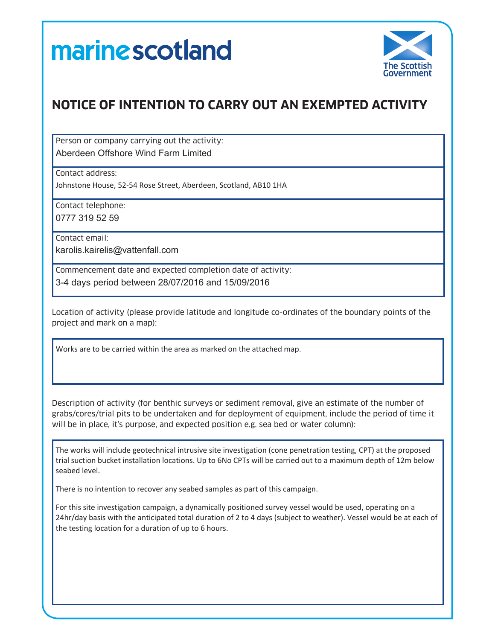## marine scotland



## **NOTICE OF INTENTION TO CARRY OUT AN EXEMPTED ACTIVITY**

Person or company carrying out the activity: Aberdeen Offshore Wind Farm Limited

Contact address:

Johnstone House, 52-54 Rose Street, Aberdeen, Scotland, AB10 1HA

Contact telephone: 0777 319 52 59

Contact email:

karolis.kairelis@vattenfall.com

Commencement date and expected completion date of activity: 3-4 days period between 28/07/2016 and 15/09/2016

Location of activity (please provide latitude and longitude co-ordinates of the boundary points of the project and mark on a map):

Works are to be carried within the area as marked on the attached map.

Description of activity (for benthic surveys or sediment removal, give an estimate of the number of grabs/cores/trial pits to be undertaken and for deployment of equipment, include the period of time it will be in place, it's purpose, and expected position e.g. sea bed or water column):

The works will include geotechnical intrusive site investigation (cone penetration testing, CPT) at the proposed trial suction bucket installation locations. Up to 6No CPTs will be carried out to a maximum depth of 12m below seabed level.

There is no intention to recover any seabed samples as part of this campaign.

For this site investigation campaign, a dynamically positioned survey vessel would be used, operating on a 24hr/day basis with the anticipated total duration of 2 to 4 days (subject to weather). Vessel would be at each of the testing location for a duration of up to 6 hours.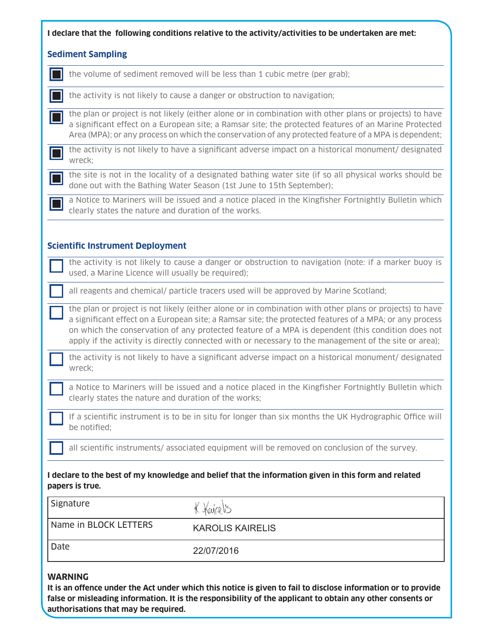| I declare that the following conditions relative to the activity/activities to be undertaken are met:<br><b>Sediment Sampling</b> |                                                                                                                                                                                                                                                                                                                                                                                                                                  |
|-----------------------------------------------------------------------------------------------------------------------------------|----------------------------------------------------------------------------------------------------------------------------------------------------------------------------------------------------------------------------------------------------------------------------------------------------------------------------------------------------------------------------------------------------------------------------------|
|                                                                                                                                   |                                                                                                                                                                                                                                                                                                                                                                                                                                  |
|                                                                                                                                   | the activity is not likely to cause a danger or obstruction to navigation;                                                                                                                                                                                                                                                                                                                                                       |
|                                                                                                                                   | the plan or project is not likely (either alone or in combination with other plans or projects) to have<br>a significant effect on a European site; a Ramsar site; the protected features of an Marine Protected<br>Area (MPA); or any process on which the conservation of any protected feature of a MPA is dependent;                                                                                                         |
| wreck;                                                                                                                            | the activity is not likely to have a significant adverse impact on a historical monument/ designated                                                                                                                                                                                                                                                                                                                             |
|                                                                                                                                   | the site is not in the locality of a designated bathing water site (if so all physical works should be<br>done out with the Bathing Water Season (1st June to 15th September);                                                                                                                                                                                                                                                   |
| clearly states the nature and duration of the works.                                                                              | a Notice to Mariners will be issued and a notice placed in the Kingfisher Fortnightly Bulletin which                                                                                                                                                                                                                                                                                                                             |
|                                                                                                                                   |                                                                                                                                                                                                                                                                                                                                                                                                                                  |
| <b>Scientific Instrument Deployment</b>                                                                                           | the activity is not likely to cause a danger or obstruction to navigation (note: if a marker buoy is                                                                                                                                                                                                                                                                                                                             |
| used, a Marine Licence will usually be required);                                                                                 |                                                                                                                                                                                                                                                                                                                                                                                                                                  |
| all reagents and chemical/ particle tracers used will be approved by Marine Scotland;                                             |                                                                                                                                                                                                                                                                                                                                                                                                                                  |
|                                                                                                                                   | the plan or project is not likely (either alone or in combination with other plans or projects) to have<br>a significant effect on a European site; a Ramsar site; the protected features of a MPA; or any process<br>on which the conservation of any protected feature of a MPA is dependent (this condition does not<br>apply if the activity is directly connected with or necessary to the management of the site or area); |
| wreck;                                                                                                                            | the activity is not likely to have a significant adverse impact on a historical monument/ designated                                                                                                                                                                                                                                                                                                                             |
| clearly states the nature and duration of the works;                                                                              | a Notice to Mariners will be issued and a notice placed in the Kingfisher Fortnightly Bulletin which                                                                                                                                                                                                                                                                                                                             |
| be notified;                                                                                                                      | If a scientific instrument is to be in situ for longer than six months the UK Hydrographic Office will                                                                                                                                                                                                                                                                                                                           |
|                                                                                                                                   | all scientific instruments/ associated equipment will be removed on conclusion of the survey.                                                                                                                                                                                                                                                                                                                                    |
| papers is true.                                                                                                                   | I declare to the best of my knowledge and belief that the information given in this form and related                                                                                                                                                                                                                                                                                                                             |
| Signature                                                                                                                         | K. Kajalis                                                                                                                                                                                                                                                                                                                                                                                                                       |
| Name in BLOCK LETTERS                                                                                                             | <b>KAROLIS KAIRELIS</b>                                                                                                                                                                                                                                                                                                                                                                                                          |
| Date                                                                                                                              | 22/07/2016                                                                                                                                                                                                                                                                                                                                                                                                                       |
| <b>WARNING</b>                                                                                                                    |                                                                                                                                                                                                                                                                                                                                                                                                                                  |

**It is an offence under the Act under which this notice is given to fail to disclose information or to provide false or misleading information. It is the responsibility of the applicant to obtain any other consents or authorisations that may be required.**